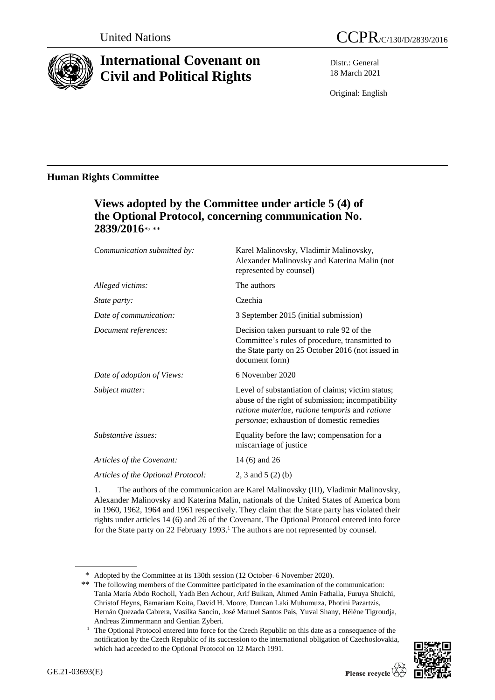

# **International Covenant on Civil and Political Rights**

Distr.: General 18 March 2021

Original: English

# **Human Rights Committee**

# **Views adopted by the Committee under article 5 (4) of the Optional Protocol, concerning communication No.**  2839/2016\*<sub>\*\*\*</sub>

| Communication submitted by:        | Karel Malinovsky, Vladimir Malinovsky,<br>Alexander Malinovsky and Katerina Malin (not<br>represented by counsel)                                                                                             |
|------------------------------------|---------------------------------------------------------------------------------------------------------------------------------------------------------------------------------------------------------------|
| Alleged victims:                   | The authors                                                                                                                                                                                                   |
| <i>State party:</i>                | Czechia                                                                                                                                                                                                       |
| Date of communication:             | 3 September 2015 (initial submission)                                                                                                                                                                         |
| Document references:               | Decision taken pursuant to rule 92 of the<br>Committee's rules of procedure, transmitted to<br>the State party on 25 October 2016 (not issued in<br>document form)                                            |
| Date of adoption of Views:         | 6 November 2020                                                                                                                                                                                               |
| Subject matter:                    | Level of substantiation of claims; victim status;<br>abuse of the right of submission; incompatibility<br>ratione materiae, ratione temporis and ratione<br><i>personae</i> ; exhaustion of domestic remedies |
| Substantive issues:                | Equality before the law; compensation for a<br>miscarriage of justice                                                                                                                                         |
| Articles of the Covenant:          | 14 (6) and 26                                                                                                                                                                                                 |
| Articles of the Optional Protocol: | 2, 3 and 5 $(2)$ (b)                                                                                                                                                                                          |
|                                    |                                                                                                                                                                                                               |

1. The authors of the communication are Karel Malinovsky (III), Vladimir Malinovsky, Alexander Malinovsky and Katerina Malin, nationals of the United States of America born in 1960, 1962, 1964 and 1961 respectively. They claim that the State party has violated their rights under articles 14 (6) and 26 of the Covenant. The Optional Protocol entered into force for the State party on 22 February 1993.<sup>1</sup> The authors are not represented by counsel.

<sup>&</sup>lt;sup>1</sup> The Optional Protocol entered into force for the Czech Republic on this date as a consequence of the notification by the Czech Republic of its succession to the international obligation of Czechoslovakia, which had acceded to the Optional Protocol on 12 March 1991.



<sup>\*</sup> Adopted by the Committee at its 130th session (12 October–6 November 2020).

<sup>\*\*</sup> The following members of the Committee participated in the examination of the communication: Tania María Abdo Rocholl, Yadh Ben Achour, Arif Bulkan, Ahmed Amin Fathalla, Furuya Shuichi, Christof Heyns, Bamariam Koita, David H. Moore, Duncan Laki Muhumuza, Photini Pazartzis, Hernán Quezada Cabrera, Vasilka Sancin, José Manuel Santos Pais, Yuval Shany, Hélène Tigroudja, Andreas Zimmermann and Gentian Zyberi.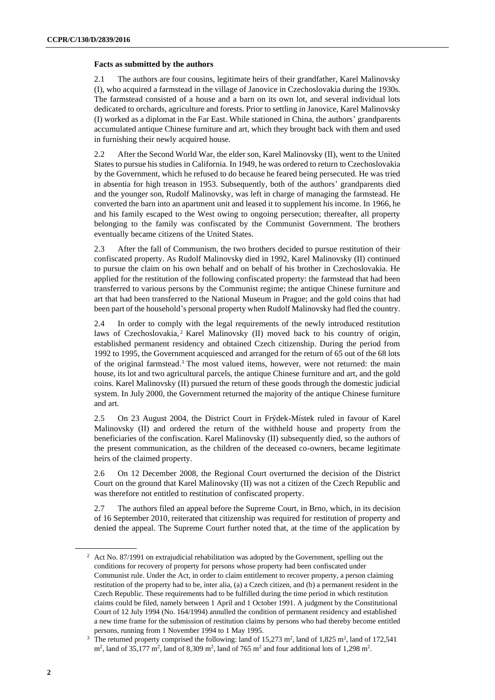## **Facts as submitted by the authors**

2.1 The authors are four cousins, legitimate heirs of their grandfather, Karel Malinovsky (I), who acquired a farmstead in the village of Janovice in Czechoslovakia during the 1930s. The farmstead consisted of a house and a barn on its own lot, and several individual lots dedicated to orchards, agriculture and forests. Prior to settling in Janovice, Karel Malinovsky (I) worked as a diplomat in the Far East. While stationed in China, the authors' grandparents accumulated antique Chinese furniture and art, which they brought back with them and used in furnishing their newly acquired house.

2.2 After the Second World War, the elder son, Karel Malinovsky (II), went to the United States to pursue his studies in California. In 1949, he was ordered to return to Czechoslovakia by the Government, which he refused to do because he feared being persecuted. He was tried in absentia for high treason in 1953. Subsequently, both of the authors' grandparents died and the younger son, Rudolf Malinovsky, was left in charge of managing the farmstead. He converted the barn into an apartment unit and leased it to supplement his income. In 1966, he and his family escaped to the West owing to ongoing persecution; thereafter, all property belonging to the family was confiscated by the Communist Government. The brothers eventually became citizens of the United States.

2.3 After the fall of Communism, the two brothers decided to pursue restitution of their confiscated property. As Rudolf Malinovsky died in 1992, Karel Malinovsky (II) continued to pursue the claim on his own behalf and on behalf of his brother in Czechoslovakia. He applied for the restitution of the following confiscated property: the farmstead that had been transferred to various persons by the Communist regime; the antique Chinese furniture and art that had been transferred to the National Museum in Prague; and the gold coins that had been part of the household's personal property when Rudolf Malinovsky had fled the country.

2.4 In order to comply with the legal requirements of the newly introduced restitution laws of Czechoslovakia,<sup>2</sup> Karel Malinovsky (II) moved back to his country of origin, established permanent residency and obtained Czech citizenship. During the period from 1992 to 1995, the Government acquiesced and arranged for the return of 65 out of the 68 lots of the original farmstead.<sup>3</sup> The most valued items, however, were not returned: the main house, its lot and two agricultural parcels, the antique Chinese furniture and art, and the gold coins. Karel Malinovsky (II) pursued the return of these goods through the domestic judicial system. In July 2000, the Government returned the majority of the antique Chinese furniture and art.

2.5 On 23 August 2004, the District Court in Frýdek-Místek ruled in favour of Karel Malinovsky (II) and ordered the return of the withheld house and property from the beneficiaries of the confiscation. Karel Malinovsky (II) subsequently died, so the authors of the present communication, as the children of the deceased co-owners, became legitimate heirs of the claimed property.

2.6 On 12 December 2008, the Regional Court overturned the decision of the District Court on the ground that Karel Malinovsky (II) was not a citizen of the Czech Republic and was therefore not entitled to restitution of confiscated property.

2.7 The authors filed an appeal before the Supreme Court, in Brno, which, in its decision of 16 September 2010, reiterated that citizenship was required for restitution of property and denied the appeal. The Supreme Court further noted that, at the time of the application by

<sup>&</sup>lt;sup>2</sup> Act No. 87/1991 on extrajudicial rehabilitation was adopted by the Government, spelling out the conditions for recovery of property for persons whose property had been confiscated under Communist rule. Under the Act, in order to claim entitlement to recover property, a person claiming restitution of the property had to be, inter alia, (a) a Czech citizen, and (b) a permanent resident in the Czech Republic. These requirements had to be fulfilled during the time period in which restitution claims could be filed, namely between 1 April and 1 October 1991. A judgment by the Constitutional Court of 12 July 1994 (No. 164/1994) annulled the condition of permanent residency and established a new time frame for the submission of restitution claims by persons who had thereby become entitled persons, running from 1 November 1994 to 1 May 1995.

<sup>&</sup>lt;sup>3</sup> The returned property comprised the following: land of 15,273 m<sup>2</sup>, land of 1,825 m<sup>2</sup>, land of 172,541  $\text{m}^2$ , land of 35,177 m<sup>2</sup>, land of 8,309 m<sup>2</sup>, land of 765 m<sup>2</sup> and four additional lots of 1,298 m<sup>2</sup>.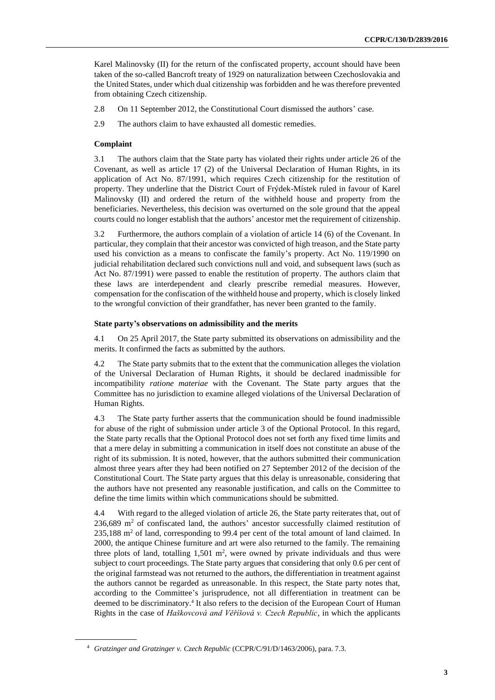Karel Malinovsky (II) for the return of the confiscated property, account should have been taken of the so-called Bancroft treaty of 1929 on naturalization between Czechoslovakia and the United States, under which dual citizenship was forbidden and he was therefore prevented from obtaining Czech citizenship.

2.8 On 11 September 2012, the Constitutional Court dismissed the authors' case.

2.9 The authors claim to have exhausted all domestic remedies.

# **Complaint**

3.1 The authors claim that the State party has violated their rights under article 26 of the Covenant, as well as article 17 (2) of the Universal Declaration of Human Rights, in its application of Act No. 87/1991, which requires Czech citizenship for the restitution of property. They underline that the District Court of Frýdek-Místek ruled in favour of Karel Malinovsky (II) and ordered the return of the withheld house and property from the beneficiaries. Nevertheless, this decision was overturned on the sole ground that the appeal courts could no longer establish that the authors' ancestor met the requirement of citizenship.

3.2 Furthermore, the authors complain of a violation of article 14 (6) of the Covenant. In particular, they complain that their ancestor was convicted of high treason, and the State party used his conviction as a means to confiscate the family's property. Act No. 119/1990 on judicial rehabilitation declared such convictions null and void, and subsequent laws (such as Act No. 87/1991) were passed to enable the restitution of property. The authors claim that these laws are interdependent and clearly prescribe remedial measures. However, compensation for the confiscation of the withheld house and property, which is closely linked to the wrongful conviction of their grandfather, has never been granted to the family.

## **State party's observations on admissibility and the merits**

4.1 On 25 April 2017, the State party submitted its observations on admissibility and the merits. It confirmed the facts as submitted by the authors.

4.2 The State party submits that to the extent that the communication alleges the violation of the Universal Declaration of Human Rights, it should be declared inadmissible for incompatibility *ratione materiae* with the Covenant. The State party argues that the Committee has no jurisdiction to examine alleged violations of the Universal Declaration of Human Rights.

4.3 The State party further asserts that the communication should be found inadmissible for abuse of the right of submission under article 3 of the Optional Protocol. In this regard, the State party recalls that the Optional Protocol does not set forth any fixed time limits and that a mere delay in submitting a communication in itself does not constitute an abuse of the right of its submission. It is noted, however, that the authors submitted their communication almost three years after they had been notified on 27 September 2012 of the decision of the Constitutional Court. The State party argues that this delay is unreasonable, considering that the authors have not presented any reasonable justification, and calls on the Committee to define the time limits within which communications should be submitted.

4.4 With regard to the alleged violation of article 26, the State party reiterates that, out of  $236,689$  m<sup>2</sup> of confiscated land, the authors' ancestor successfully claimed restitution of  $235,188$  m<sup>2</sup> of land, corresponding to 99.4 per cent of the total amount of land claimed. In 2000, the antique Chinese furniture and art were also returned to the family. The remaining three plots of land, totalling  $1,501 \text{ m}^2$ , were owned by private individuals and thus were subject to court proceedings. The State party argues that considering that only 0.6 per cent of the original farmstead was not returned to the authors, the differentiation in treatment against the authors cannot be regarded as unreasonable. In this respect, the State party notes that, according to the Committee's jurisprudence, not all differentiation in treatment can be deemed to be discriminatory.<sup>4</sup> It also refers to the decision of the European Court of Human Rights in the case of *Haškovcová and Věříšová v. Czech Republic*, in which the applicants

<sup>4</sup> *Gratzinger and Gratzinger v. Czech Republic* (CCPR/C/91/D/1463/2006), para. 7.3.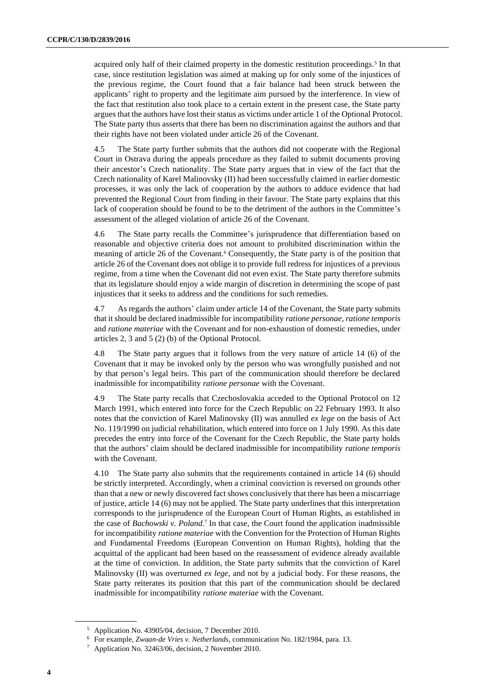acquired only half of their claimed property in the domestic restitution proceedings.<sup>5</sup> In that case, since restitution legislation was aimed at making up for only some of the injustices of the previous regime, the Court found that a fair balance had been struck between the applicants' right to property and the legitimate aim pursued by the interference. In view of the fact that restitution also took place to a certain extent in the present case, the State party argues that the authors have lost their status as victims under article 1 of the Optional Protocol. The State party thus asserts that there has been no discrimination against the authors and that their rights have not been violated under article 26 of the Covenant.

4.5 The State party further submits that the authors did not cooperate with the Regional Court in Ostrava during the appeals procedure as they failed to submit documents proving their ancestor's Czech nationality. The State party argues that in view of the fact that the Czech nationality of Karel Malinovsky (II) had been successfully claimed in earlier domestic processes, it was only the lack of cooperation by the authors to adduce evidence that had prevented the Regional Court from finding in their favour. The State party explains that this lack of cooperation should be found to be to the detriment of the authors in the Committee's assessment of the alleged violation of article 26 of the Covenant.

4.6 The State party recalls the Committee's jurisprudence that differentiation based on reasonable and objective criteria does not amount to prohibited discrimination within the meaning of article 26 of the Covenant.<sup>6</sup> Consequently, the State party is of the position that article 26 of the Covenant does not oblige it to provide full redress for injustices of a previous regime, from a time when the Covenant did not even exist. The State party therefore submits that its legislature should enjoy a wide margin of discretion in determining the scope of past injustices that it seeks to address and the conditions for such remedies.

4.7 As regards the authors' claim under article 14 of the Covenant, the State party submits that it should be declared inadmissible for incompatibility *ratione personae*, *ratione temporis* and *ratione materiae* with the Covenant and for non-exhaustion of domestic remedies, under articles 2, 3 and 5 (2) (b) of the Optional Protocol.

4.8 The State party argues that it follows from the very nature of article 14 (6) of the Covenant that it may be invoked only by the person who was wrongfully punished and not by that person's legal heirs. This part of the communication should therefore be declared inadmissible for incompatibility *ratione personae* with the Covenant.

4.9 The State party recalls that Czechoslovakia acceded to the Optional Protocol on 12 March 1991, which entered into force for the Czech Republic on 22 February 1993. It also notes that the conviction of Karel Malinovsky (II) was annulled *ex lege* on the basis of Act No. 119/1990 on judicial rehabilitation, which entered into force on 1 July 1990. As this date precedes the entry into force of the Covenant for the Czech Republic, the State party holds that the authors' claim should be declared inadmissible for incompatibility *ratione temporis* with the Covenant.

4.10 The State party also submits that the requirements contained in article 14 (6) should be strictly interpreted. Accordingly, when a criminal conviction is reversed on grounds other than that a new or newly discovered fact shows conclusively that there has been a miscarriage of justice, article 14 (6) may not be applied. The State party underlines that this interpretation corresponds to the jurisprudence of the European Court of Human Rights, as established in the case of *Bachowski v. Poland*. 7 In that case, the Court found the application inadmissible for incompatibility *ratione materiae* with the Convention for the Protection of Human Rights and Fundamental Freedoms (European Convention on Human Rights), holding that the acquittal of the applicant had been based on the reassessment of evidence already available at the time of conviction. In addition, the State party submits that the conviction of Karel Malinovsky (II) was overturned *ex lege*, and not by a judicial body. For these reasons, the State party reiterates its position that this part of the communication should be declared inadmissible for incompatibility *ratione materiae* with the Covenant.

<sup>5</sup> Application No. 43905/04, decision, 7 December 2010.

<sup>6</sup> For example, *Zwaan-de Vries v. Netherlands*, communication No. 182/1984, para. 13.

<sup>7</sup> Application No. 32463/06, decision, 2 November 2010.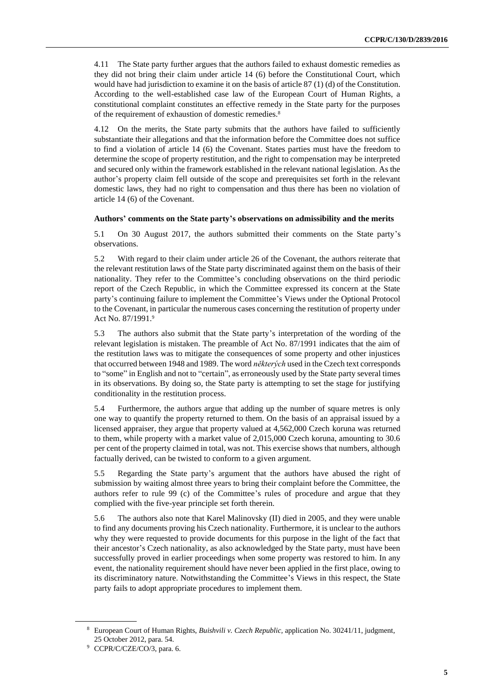4.11 The State party further argues that the authors failed to exhaust domestic remedies as they did not bring their claim under article 14 (6) before the Constitutional Court, which would have had jurisdiction to examine it on the basis of article 87 (1) (d) of the Constitution. According to the well-established case law of the European Court of Human Rights, a constitutional complaint constitutes an effective remedy in the State party for the purposes of the requirement of exhaustion of domestic remedies.<sup>8</sup>

4.12 On the merits, the State party submits that the authors have failed to sufficiently substantiate their allegations and that the information before the Committee does not suffice to find a violation of article 14 (6) the Covenant. States parties must have the freedom to determine the scope of property restitution, and the right to compensation may be interpreted and secured only within the framework established in the relevant national legislation. As the author's property claim fell outside of the scope and prerequisites set forth in the relevant domestic laws, they had no right to compensation and thus there has been no violation of article 14 (6) of the Covenant.

#### **Authors' comments on the State party's observations on admissibility and the merits**

5.1 On 30 August 2017, the authors submitted their comments on the State party's observations.

5.2 With regard to their claim under article 26 of the Covenant, the authors reiterate that the relevant restitution laws of the State party discriminated against them on the basis of their nationality. They refer to the Committee's concluding observations on the third periodic report of the Czech Republic, in which the Committee expressed its concern at the State party's continuing failure to implement the Committee's Views under the Optional Protocol to the Covenant, in particular the numerous cases concerning the restitution of property under Act No. 87/1991.<sup>9</sup>

5.3 The authors also submit that the State party's interpretation of the wording of the relevant legislation is mistaken. The preamble of Act No. 87/1991 indicates that the aim of the restitution laws was to mitigate the consequences of some property and other injustices that occurred between 1948 and 1989. The word *některých* used in the Czech text corresponds to "some" in English and not to "certain", as erroneously used by the State party several times in its observations. By doing so, the State party is attempting to set the stage for justifying conditionality in the restitution process.

5.4 Furthermore, the authors argue that adding up the number of square metres is only one way to quantify the property returned to them. On the basis of an appraisal issued by a licensed appraiser, they argue that property valued at 4,562,000 Czech koruna was returned to them, while property with a market value of 2,015,000 Czech koruna, amounting to 30.6 per cent of the property claimed in total, was not. This exercise shows that numbers, although factually derived, can be twisted to conform to a given argument.

5.5 Regarding the State party's argument that the authors have abused the right of submission by waiting almost three years to bring their complaint before the Committee, the authors refer to rule 99 (c) of the Committee's rules of procedure and argue that they complied with the five-year principle set forth therein.

5.6 The authors also note that Karel Malinovsky (II) died in 2005, and they were unable to find any documents proving his Czech nationality. Furthermore, it is unclear to the authors why they were requested to provide documents for this purpose in the light of the fact that their ancestor's Czech nationality, as also acknowledged by the State party, must have been successfully proved in earlier proceedings when some property was restored to him. In any event, the nationality requirement should have never been applied in the first place, owing to its discriminatory nature. Notwithstanding the Committee's Views in this respect, the State party fails to adopt appropriate procedures to implement them.

<sup>8</sup> European Court of Human Rights, *Buishvili v. Czech Republic,* application No. 30241/11, judgment, 25 October 2012, para. 54.

<sup>9</sup> CCPR/C/CZE/CO/3, para. 6.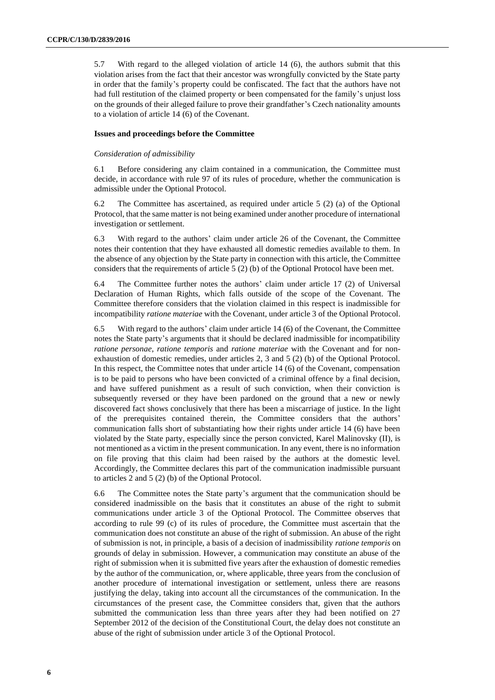5.7 With regard to the alleged violation of article 14 (6), the authors submit that this violation arises from the fact that their ancestor was wrongfully convicted by the State party in order that the family's property could be confiscated. The fact that the authors have not had full restitution of the claimed property or been compensated for the family's unjust loss on the grounds of their alleged failure to prove their grandfather's Czech nationality amounts to a violation of article 14 (6) of the Covenant.

### **Issues and proceedings before the Committee**

#### *Consideration of admissibility*

6.1 Before considering any claim contained in a communication, the Committee must decide, in accordance with rule 97 of its rules of procedure, whether the communication is admissible under the Optional Protocol.

6.2 The Committee has ascertained, as required under article 5 (2) (a) of the Optional Protocol, that the same matter is not being examined under another procedure of international investigation or settlement.

6.3 With regard to the authors' claim under article 26 of the Covenant, the Committee notes their contention that they have exhausted all domestic remedies available to them. In the absence of any objection by the State party in connection with this article, the Committee considers that the requirements of article 5 (2) (b) of the Optional Protocol have been met.

6.4 The Committee further notes the authors' claim under article 17 (2) of Universal Declaration of Human Rights, which falls outside of the scope of the Covenant. The Committee therefore considers that the violation claimed in this respect is inadmissible for incompatibility *ratione materiae* with the Covenant, under article 3 of the Optional Protocol.

6.5 With regard to the authors' claim under article 14 (6) of the Covenant, the Committee notes the State party's arguments that it should be declared inadmissible for incompatibility *ratione personae*, *ratione temporis* and *ratione materiae* with the Covenant and for nonexhaustion of domestic remedies, under articles 2, 3 and 5 (2) (b) of the Optional Protocol. In this respect, the Committee notes that under article 14 (6) of the Covenant, compensation is to be paid to persons who have been convicted of a criminal offence by a final decision, and have suffered punishment as a result of such conviction, when their conviction is subsequently reversed or they have been pardoned on the ground that a new or newly discovered fact shows conclusively that there has been a miscarriage of justice. In the light of the prerequisites contained therein, the Committee considers that the authors' communication falls short of substantiating how their rights under article 14 (6) have been violated by the State party, especially since the person convicted, Karel Malinovsky (II), is not mentioned as a victim in the present communication. In any event, there is no information on file proving that this claim had been raised by the authors at the domestic level. Accordingly, the Committee declares this part of the communication inadmissible pursuant to articles 2 and 5 (2) (b) of the Optional Protocol.

6.6 The Committee notes the State party's argument that the communication should be considered inadmissible on the basis that it constitutes an abuse of the right to submit communications under article 3 of the Optional Protocol. The Committee observes that according to rule 99 (c) of its rules of procedure, the Committee must ascertain that the communication does not constitute an abuse of the right of submission. An abuse of the right of submission is not, in principle, a basis of a decision of inadmissibility *ratione temporis* on grounds of delay in submission. However, a communication may constitute an abuse of the right of submission when it is submitted five years after the exhaustion of domestic remedies by the author of the communication, or, where applicable, three years from the conclusion of another procedure of international investigation or settlement, unless there are reasons justifying the delay, taking into account all the circumstances of the communication. In the circumstances of the present case, the Committee considers that, given that the authors submitted the communication less than three years after they had been notified on 27 September 2012 of the decision of the Constitutional Court, the delay does not constitute an abuse of the right of submission under article 3 of the Optional Protocol.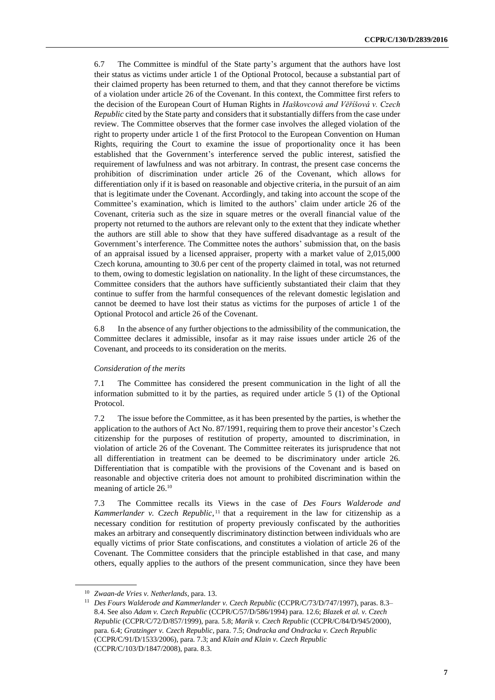6.7 The Committee is mindful of the State party's argument that the authors have lost their status as victims under article 1 of the Optional Protocol, because a substantial part of their claimed property has been returned to them, and that they cannot therefore be victims of a violation under article 26 of the Covenant. In this context, the Committee first refers to the decision of the European Court of Human Rights in *Haškovcová and Věříšová v. Czech Republic* cited by the State party and considers that it substantially differs from the case under review. The Committee observes that the former case involves the alleged violation of the right to property under article 1 of the first Protocol to the European Convention on Human Rights, requiring the Court to examine the issue of proportionality once it has been established that the Government's interference served the public interest, satisfied the requirement of lawfulness and was not arbitrary. In contrast, the present case concerns the prohibition of discrimination under article 26 of the Covenant, which allows for differentiation only if it is based on reasonable and objective criteria, in the pursuit of an aim that is legitimate under the Covenant. Accordingly, and taking into account the scope of the Committee's examination, which is limited to the authors' claim under article 26 of the Covenant, criteria such as the size in square metres or the overall financial value of the property not returned to the authors are relevant only to the extent that they indicate whether the authors are still able to show that they have suffered disadvantage as a result of the Government's interference. The Committee notes the authors' submission that, on the basis of an appraisal issued by a licensed appraiser, property with a market value of 2,015,000 Czech koruna, amounting to 30.6 per cent of the property claimed in total, was not returned to them, owing to domestic legislation on nationality. In the light of these circumstances, the Committee considers that the authors have sufficiently substantiated their claim that they continue to suffer from the harmful consequences of the relevant domestic legislation and cannot be deemed to have lost their status as victims for the purposes of article 1 of the Optional Protocol and article 26 of the Covenant.

6.8 In the absence of any further objections to the admissibility of the communication, the Committee declares it admissible, insofar as it may raise issues under article 26 of the Covenant, and proceeds to its consideration on the merits.

#### *Consideration of the merits*

7.1 The Committee has considered the present communication in the light of all the information submitted to it by the parties, as required under article 5 (1) of the Optional Protocol.

7.2 The issue before the Committee, as it has been presented by the parties, is whether the application to the authors of Act No. 87/1991, requiring them to prove their ancestor's Czech citizenship for the purposes of restitution of property, amounted to discrimination, in violation of article 26 of the Covenant. The Committee reiterates its jurisprudence that not all differentiation in treatment can be deemed to be discriminatory under article 26. Differentiation that is compatible with the provisions of the Covenant and is based on reasonable and objective criteria does not amount to prohibited discrimination within the meaning of article 26.<sup>10</sup>

7.3 The Committee recalls its Views in the case of *Des Fours Walderode and Kammerlander v. Czech Republic*,<sup>11</sup> that a requirement in the law for citizenship as a necessary condition for restitution of property previously confiscated by the authorities makes an arbitrary and consequently discriminatory distinction between individuals who are equally victims of prior State confiscations, and constitutes a violation of article 26 of the Covenant. The Committee considers that the principle established in that case, and many others, equally applies to the authors of the present communication, since they have been

<sup>10</sup> *Zwaan-de Vries v. Netherlands*, para. 13.

<sup>11</sup> *Des Fours Walderode and Kammerlander v. Czech Republic* (CCPR/C/73/D/747/1997), paras. 8.3– 8.4. See also *Adam v. Czech Republic* (CCPR/C/57/D/586/1994) para. 12.6; *Blazek et al. v. Czech Republic* (CCPR/C/72/D/857/1999), para. 5.8; *Marik v. Czech Republic* (CCPR/C/84/D/945/2000), para. 6.4; *Gratzinger v. Czech Republic*, para. 7.5; *Ondracka and Ondracka v. Czech Republic* (CCPR/C/91/D/1533/2006), para. 7.3; and *Klain and Klain v. Czech Republic* (CCPR/C/103/D/1847/2008), para. 8.3.